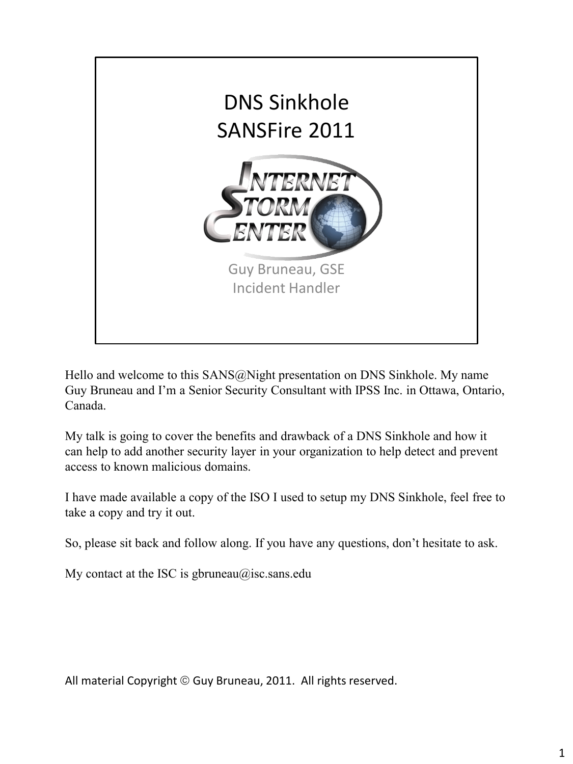

Hello and welcome to this SANS@Night presentation on DNS Sinkhole. My name Guy Bruneau and I'm a Senior Security Consultant with IPSS Inc. in Ottawa, Ontario, Canada.

My talk is going to cover the benefits and drawback of a DNS Sinkhole and how it can help to add another security layer in your organization to help detect and prevent access to known malicious domains.

I have made available a copy of the ISO I used to setup my DNS Sinkhole, feel free to take a copy and try it out.

So, please sit back and follow along. If you have any questions, don't hesitate to ask.

My contact at the ISC is gbruneau $@$  isc.sans.edu

All material Copyright © Guy Bruneau, 2011. All rights reserved.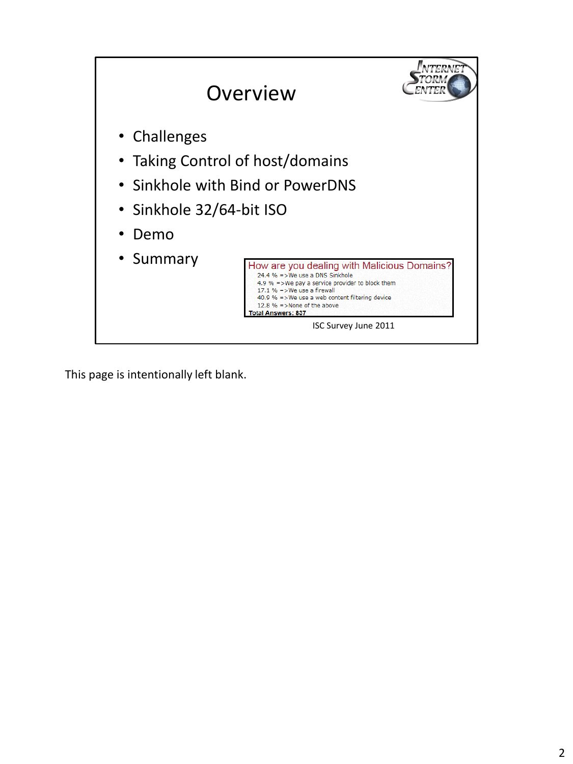

This page is intentionally left blank.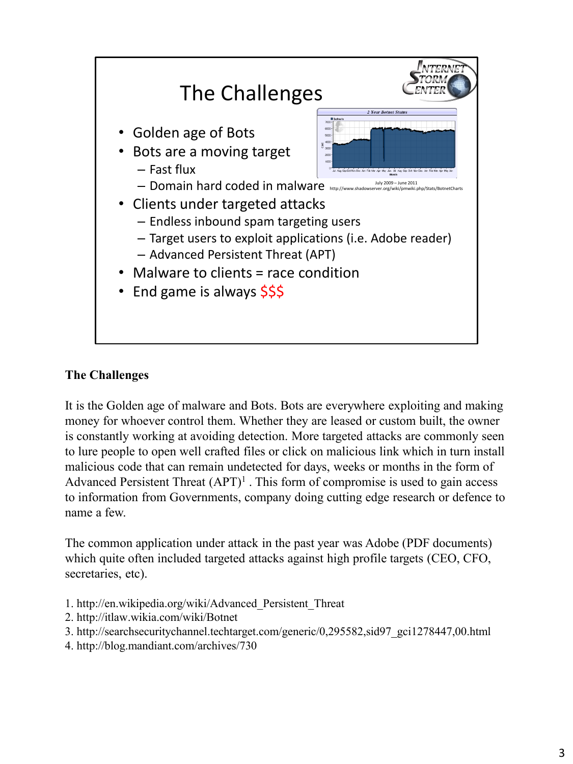

## **The Challenges**

It is the Golden age of malware and Bots. Bots are everywhere exploiting and making money for whoever control them. Whether they are leased or custom built, the owner is constantly working at avoiding detection. More targeted attacks are commonly seen to lure people to open well crafted files or click on malicious link which in turn install malicious code that can remain undetected for days, weeks or months in the form of Advanced Persistent Threat  $(APT)^1$ . This form of compromise is used to gain access to information from Governments, company doing cutting edge research or defence to name a few.

The common application under attack in the past year was Adobe (PDF documents) which quite often included targeted attacks against high profile targets (CEO, CFO, secretaries, etc).

- 1. http://en.wikipedia.org/wiki/Advanced\_Persistent\_Threat
- 2. http://itlaw.wikia.com/wiki/Botnet
- 3. http://searchsecuritychannel.techtarget.com/generic/0,295582,sid97\_gci1278447,00.html
- 4. http://blog.mandiant.com/archives/730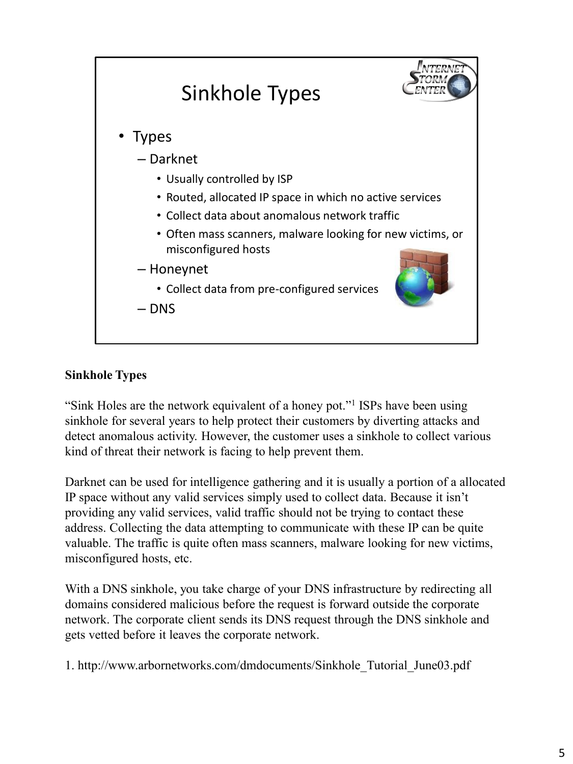

## **Sinkhole Types**

"Sink Holes are the network equivalent of a honey pot."<sup>1</sup> ISPs have been using sinkhole for several years to help protect their customers by diverting attacks and detect anomalous activity. However, the customer uses a sinkhole to collect various kind of threat their network is facing to help prevent them.

Darknet can be used for intelligence gathering and it is usually a portion of a allocated IP space without any valid services simply used to collect data. Because it isn't providing any valid services, valid traffic should not be trying to contact these address. Collecting the data attempting to communicate with these IP can be quite valuable. The traffic is quite often mass scanners, malware looking for new victims, misconfigured hosts, etc.

With a DNS sinkhole, you take charge of your DNS infrastructure by redirecting all domains considered malicious before the request is forward outside the corporate network. The corporate client sends its DNS request through the DNS sinkhole and gets vetted before it leaves the corporate network.

1. http://www.arbornetworks.com/dmdocuments/Sinkhole\_Tutorial\_June03.pdf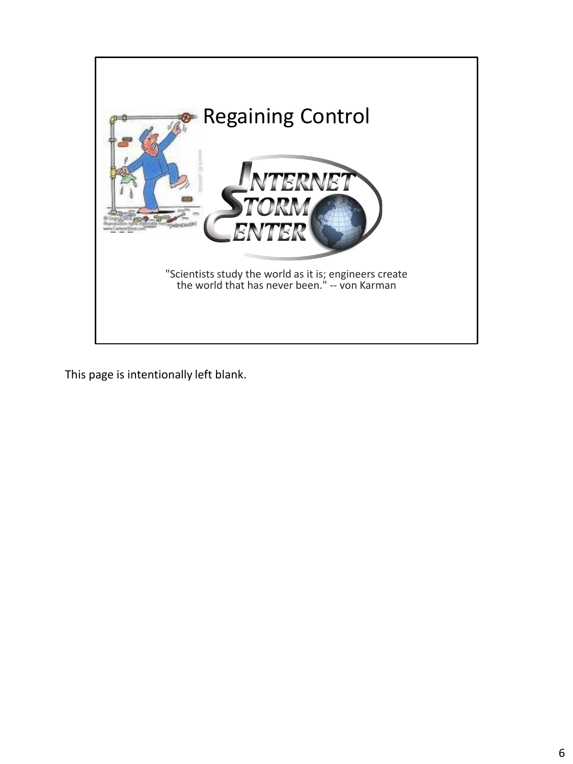

This page is intentionally left blank.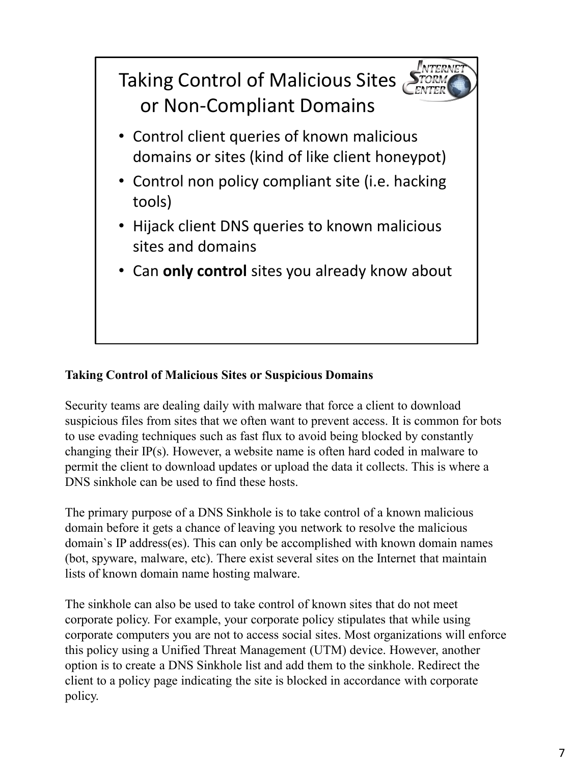

# **Taking Control of Malicious Sites or Suspicious Domains**

Security teams are dealing daily with malware that force a client to download suspicious files from sites that we often want to prevent access. It is common for bots to use evading techniques such as fast flux to avoid being blocked by constantly changing their IP(s). However, a website name is often hard coded in malware to permit the client to download updates or upload the data it collects. This is where a DNS sinkhole can be used to find these hosts.

The primary purpose of a DNS Sinkhole is to take control of a known malicious domain before it gets a chance of leaving you network to resolve the malicious domain`s IP address(es). This can only be accomplished with known domain names (bot, spyware, malware, etc). There exist several sites on the Internet that maintain lists of known domain name hosting malware.

The sinkhole can also be used to take control of known sites that do not meet corporate policy. For example, your corporate policy stipulates that while using corporate computers you are not to access social sites. Most organizations will enforce this policy using a Unified Threat Management (UTM) device. However, another option is to create a DNS Sinkhole list and add them to the sinkhole. Redirect the client to a policy page indicating the site is blocked in accordance with corporate policy.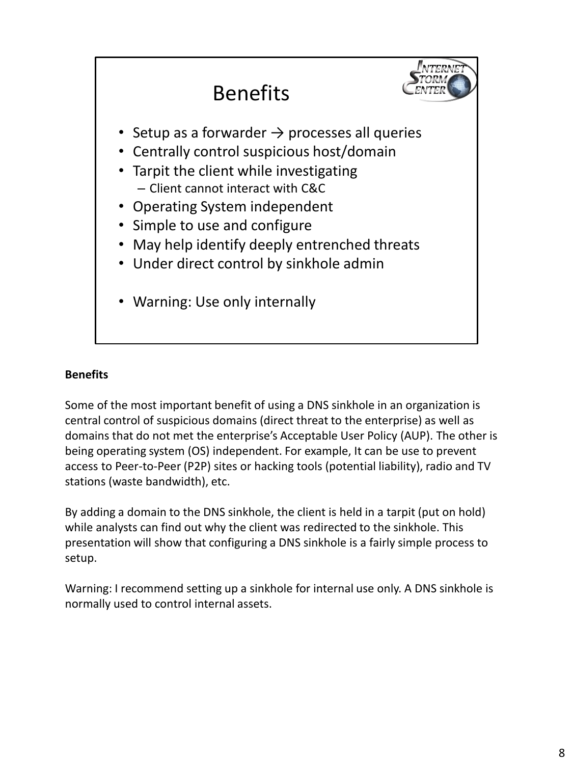

# **Benefits**

Some of the most important benefit of using a DNS sinkhole in an organization is central control of suspicious domains (direct threat to the enterprise) as well as domains that do not met the enterprise's Acceptable User Policy (AUP). The other is being operating system (OS) independent. For example, It can be use to prevent access to Peer-to-Peer (P2P) sites or hacking tools (potential liability), radio and TV stations (waste bandwidth), etc.

By adding a domain to the DNS sinkhole, the client is held in a tarpit (put on hold) while analysts can find out why the client was redirected to the sinkhole. This presentation will show that configuring a DNS sinkhole is a fairly simple process to setup.

Warning: I recommend setting up a sinkhole for internal use only. A DNS sinkhole is normally used to control internal assets.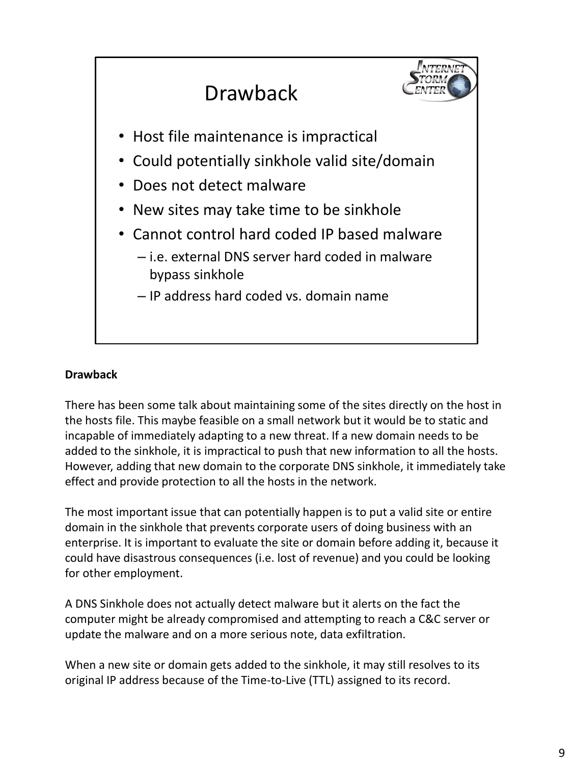

## **Drawback**

There has been some talk about maintaining some of the sites directly on the host in the hosts file. This maybe feasible on a small network but it would be to static and incapable of immediately adapting to a new threat. If a new domain needs to be added to the sinkhole, it is impractical to push that new information to all the hosts. However, adding that new domain to the corporate DNS sinkhole, it immediately take effect and provide protection to all the hosts in the network.

The most important issue that can potentially happen is to put a valid site or entire domain in the sinkhole that prevents corporate users of doing business with an enterprise. It is important to evaluate the site or domain before adding it, because it could have disastrous consequences (i.e. lost of revenue) and you could be looking for other employment.

A DNS Sinkhole does not actually detect malware but it alerts on the fact the computer might be already compromised and attempting to reach a C&C server or update the malware and on a more serious note, data exfiltration.

When a new site or domain gets added to the sinkhole, it may still resolves to its original IP address because of the Time-to-Live (TTL) assigned to its record.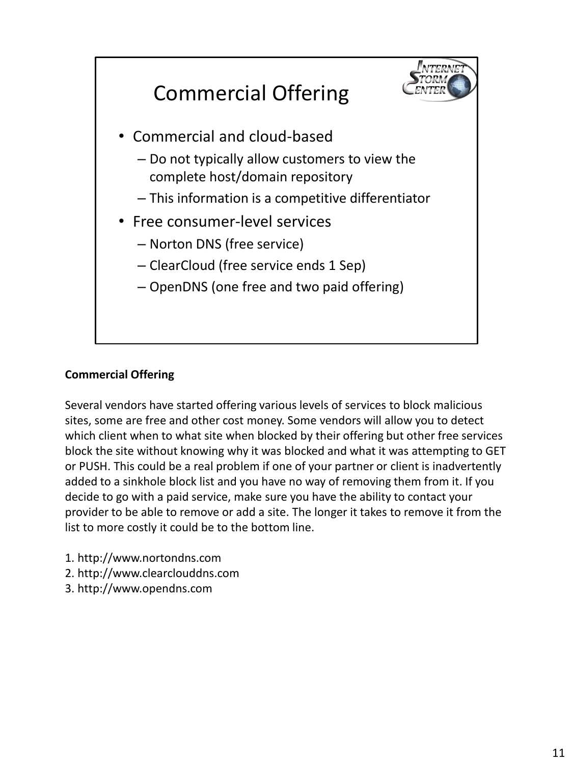

## **Commercial Offering**

Several vendors have started offering various levels of services to block malicious sites, some are free and other cost money. Some vendors will allow you to detect which client when to what site when blocked by their offering but other free services block the site without knowing why it was blocked and what it was attempting to GET or PUSH. This could be a real problem if one of your partner or client is inadvertently added to a sinkhole block list and you have no way of removing them from it. If you decide to go with a paid service, make sure you have the ability to contact your provider to be able to remove or add a site. The longer it takes to remove it from the list to more costly it could be to the bottom line.

- 1. http://www.nortondns.com
- 2. http://www.clearclouddns.com
- 3. http://www.opendns.com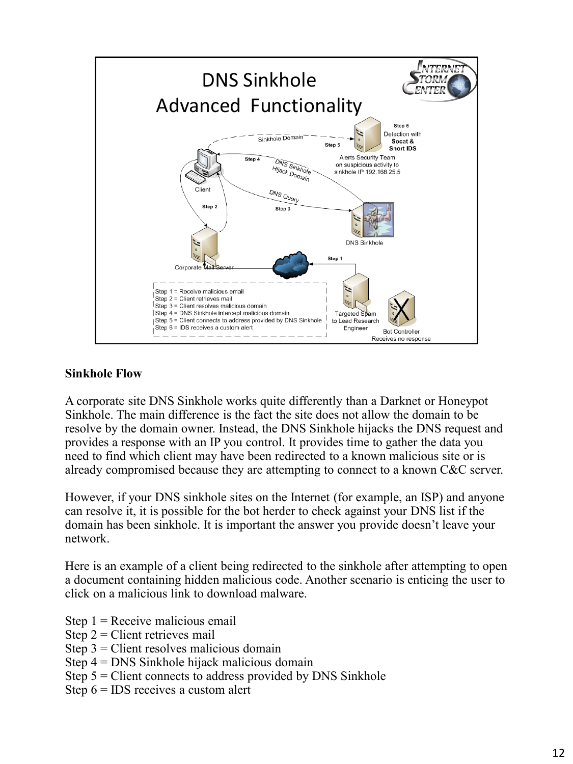

#### **Sinkhole Flow**

A corporate site DNS Sinkhole works quite differently than a Darknet or Honeypot Sinkhole. The main difference is the fact the site does not allow the domain to be resolve by the domain owner. Instead, the DNS Sinkhole hijacks the DNS request and provides a response with an IP you control. It provides time to gather the data you need to find which client may have been redirected to a known malicious site or is already compromised because they are attempting to connect to a known C&C server.

However, if your DNS sinkhole sites on the Internet (for example, an ISP) and anyone can resolve it, it is possible for the bot herder to check against your DNS list if the domain has been sinkhole. It is important the answer you provide doesn't leave your network.

Here is an example of a client being redirected to the sinkhole after attempting to open a document containing hidden malicious code. Another scenario is enticing the user to click on a malicious link to download malware.

- Step 1 = Receive malicious email
- Step  $2 =$  Client retrieves mail
- Step  $3$  = Client resolves malicious domain
- Step 4 = DNS Sinkhole hijack malicious domain
- Step 5 = Client connects to address provided by DNS Sinkhole
- Step 6 = IDS receives a custom alert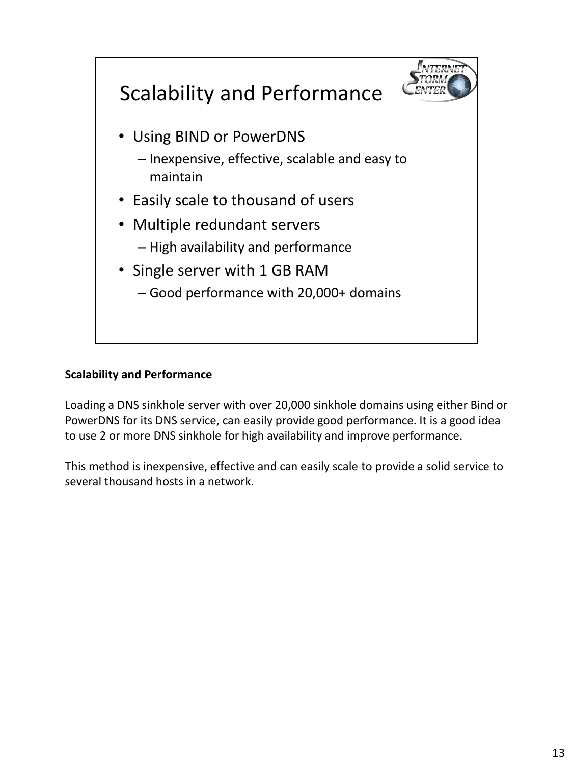

#### **Scalability and Performance**

Loading a DNS sinkhole server with over 20,000 sinkhole domains using either Bind or PowerDNS for its DNS service, can easily provide good performance. It is a good idea to use 2 or more DNS sinkhole for high availability and improve performance.

This method is inexpensive, effective and can easily scale to provide a solid service to several thousand hosts in a network.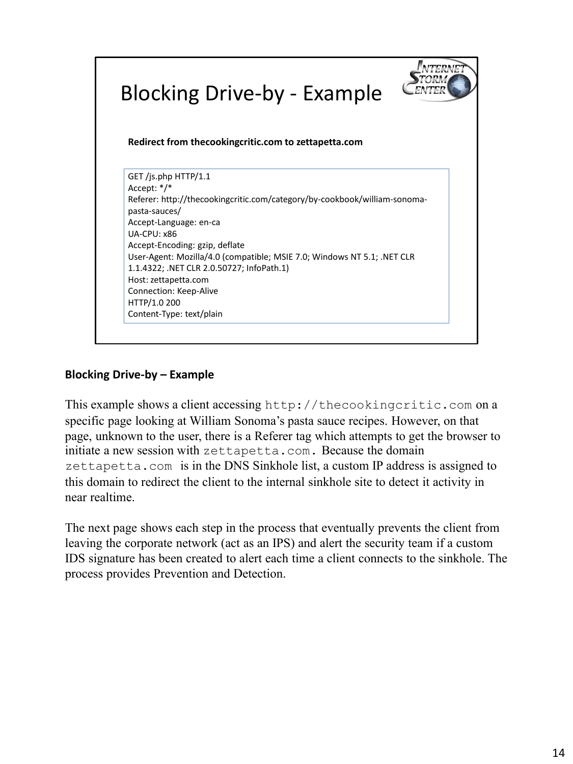

#### **Blocking Drive-by – Example**

This example shows a client accessing http://thecookingcritic.com on a specific page looking at William Sonoma's pasta sauce recipes. However, on that page, unknown to the user, there is a Referer tag which attempts to get the browser to initiate a new session with zettapetta.com. Because the domain zettapetta.com is in the DNS Sinkhole list, a custom IP address is assigned to this domain to redirect the client to the internal sinkhole site to detect it activity in near realtime.

The next page shows each step in the process that eventually prevents the client from leaving the corporate network (act as an IPS) and alert the security team if a custom IDS signature has been created to alert each time a client connects to the sinkhole. The process provides Prevention and Detection.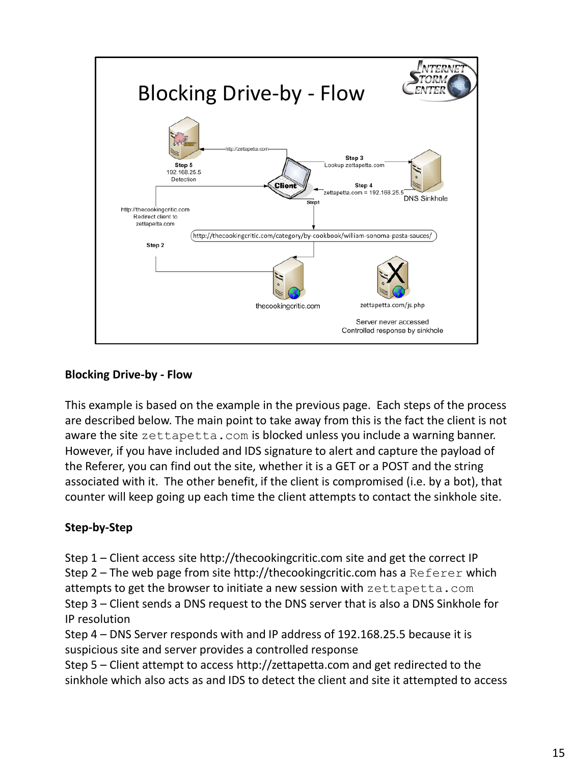

#### **Blocking Drive-by - Flow**

This example is based on the example in the previous page. Each steps of the process are described below. The main point to take away from this is the fact the client is not aware the site  $z$ ettapetta.com is blocked unless you include a warning banner. However, if you have included and IDS signature to alert and capture the payload of the Referer, you can find out the site, whether it is a GET or a POST and the string associated with it. The other benefit, if the client is compromised (i.e. by a bot), that counter will keep going up each time the client attempts to contact the sinkhole site.

## **Step-by-Step**

Step 1 – Client access site http://thecookingcritic.com site and get the correct IP Step 2 – The web page from site http://thecookingcritic.com has a Referer which attempts to get the browser to initiate a new session with zettapetta.com Step 3 – Client sends a DNS request to the DNS server that is also a DNS Sinkhole for IP resolution

Step 4 – DNS Server responds with and IP address of 192.168.25.5 because it is suspicious site and server provides a controlled response

Step 5 – Client attempt to access http://zettapetta.com and get redirected to the sinkhole which also acts as and IDS to detect the client and site it attempted to access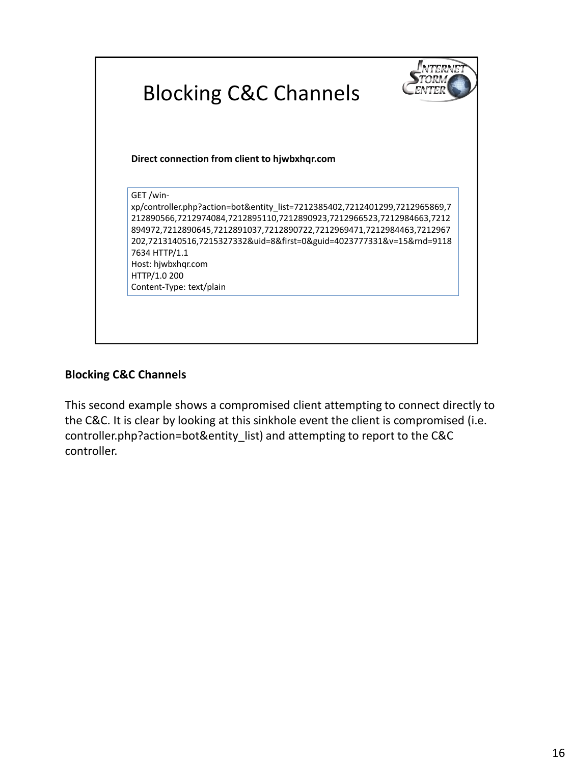

#### **Blocking C&C Channels**

This second example shows a compromised client attempting to connect directly to the C&C. It is clear by looking at this sinkhole event the client is compromised (i.e. controller.php?action=bot&entity\_list) and attempting to report to the C&C controller.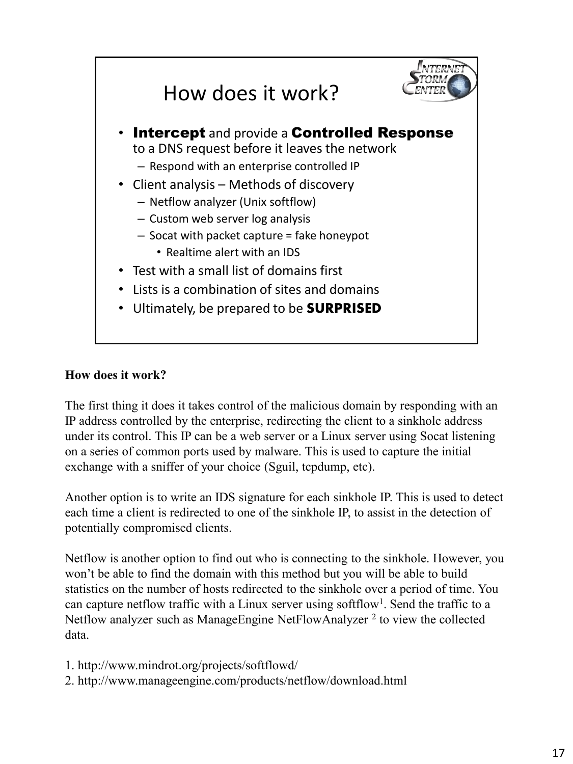![](_page_14_Figure_0.jpeg)

## **How does it work?**

The first thing it does it takes control of the malicious domain by responding with an IP address controlled by the enterprise, redirecting the client to a sinkhole address under its control. This IP can be a web server or a Linux server using Socat listening on a series of common ports used by malware. This is used to capture the initial exchange with a sniffer of your choice (Sguil, tcpdump, etc).

Another option is to write an IDS signature for each sinkhole IP. This is used to detect each time a client is redirected to one of the sinkhole IP, to assist in the detection of potentially compromised clients.

Netflow is another option to find out who is connecting to the sinkhole. However, you won't be able to find the domain with this method but you will be able to build statistics on the number of hosts redirected to the sinkhole over a period of time. You can capture netflow traffic with a Linux server using softflow<sup>1</sup>. Send the traffic to a Netflow analyzer such as ManageEngine NetFlowAnalyzer<sup>2</sup> to view the collected data.

1. http://www.mindrot.org/projects/softflowd/

2. http://www.manageengine.com/products/netflow/download.html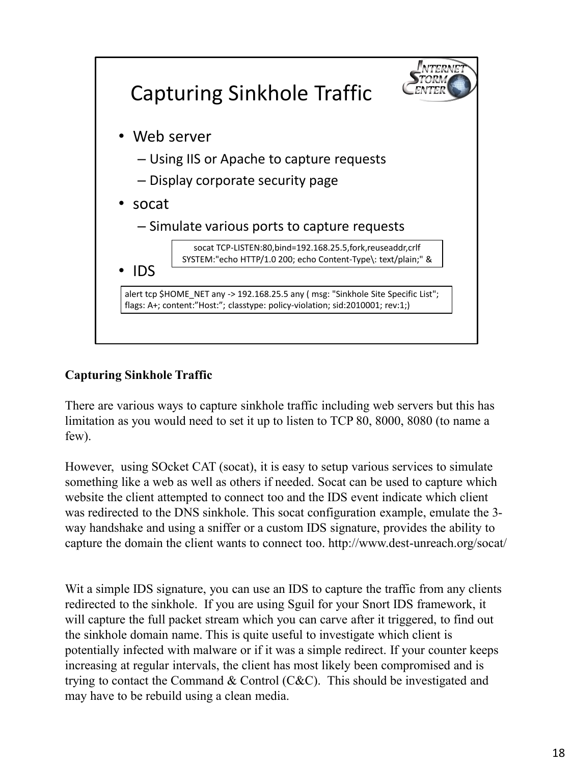![](_page_15_Figure_0.jpeg)

# **Capturing Sinkhole Traffic**

There are various ways to capture sinkhole traffic including web servers but this has limitation as you would need to set it up to listen to TCP 80, 8000, 8080 (to name a few).

However, using SOcket CAT (socat), it is easy to setup various services to simulate something like a web as well as others if needed. Socat can be used to capture which website the client attempted to connect too and the IDS event indicate which client was redirected to the DNS sinkhole. This socat configuration example, emulate the 3 way handshake and using a sniffer or a custom IDS signature, provides the ability to capture the domain the client wants to connect too. http://www.dest-unreach.org/socat/

Wit a simple IDS signature, you can use an IDS to capture the traffic from any clients redirected to the sinkhole. If you are using Sguil for your Snort IDS framework, it will capture the full packet stream which you can carve after it triggered, to find out the sinkhole domain name. This is quite useful to investigate which client is potentially infected with malware or if it was a simple redirect. If your counter keeps increasing at regular intervals, the client has most likely been compromised and is trying to contact the Command & Control (C&C). This should be investigated and may have to be rebuild using a clean media.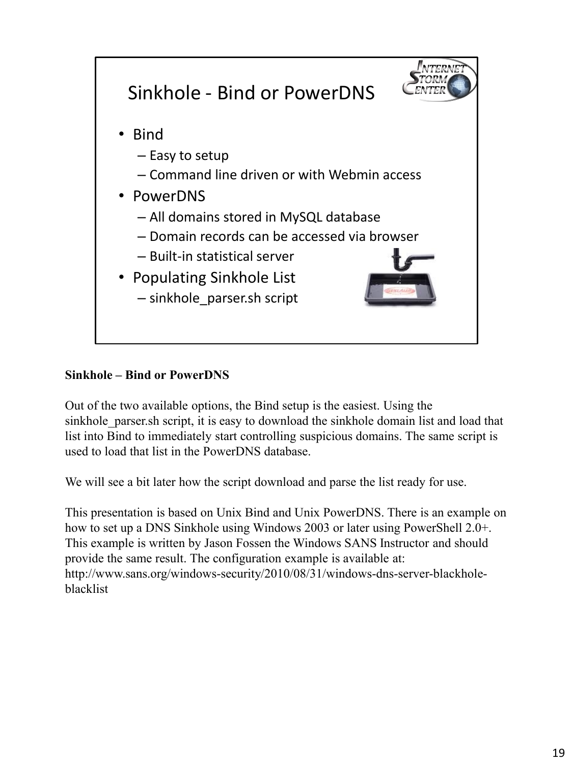![](_page_16_Figure_0.jpeg)

# **Sinkhole – Bind or PowerDNS**

Out of the two available options, the Bind setup is the easiest. Using the sinkhole parser.sh script, it is easy to download the sinkhole domain list and load that list into Bind to immediately start controlling suspicious domains. The same script is used to load that list in the PowerDNS database.

We will see a bit later how the script download and parse the list ready for use.

This presentation is based on Unix Bind and Unix PowerDNS. There is an example on how to set up a DNS Sinkhole using Windows 2003 or later using PowerShell 2.0+. This example is written by Jason Fossen the Windows SANS Instructor and should provide the same result. The configuration example is available at: http://www.sans.org/windows-security/2010/08/31/windows-dns-server-blackholeblacklist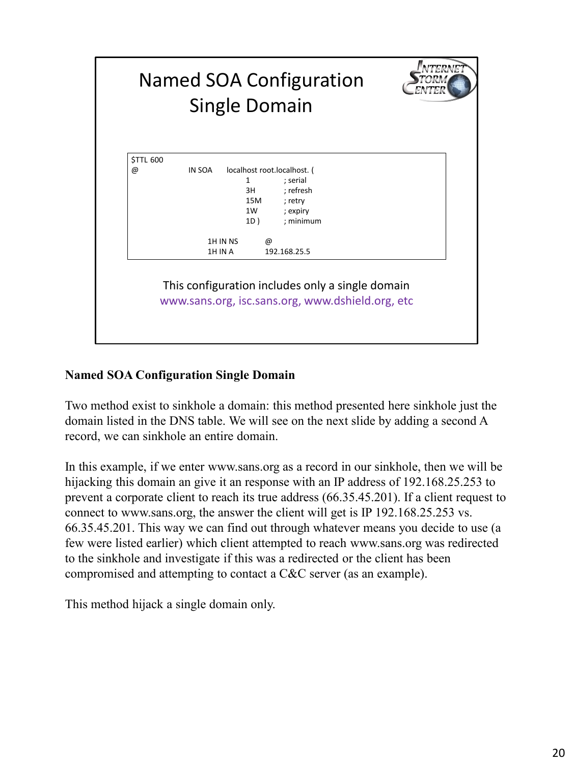![](_page_17_Figure_0.jpeg)

## **Named SOA Configuration Single Domain**

Two method exist to sinkhole a domain: this method presented here sinkhole just the domain listed in the DNS table. We will see on the next slide by adding a second A record, we can sinkhole an entire domain.

In this example, if we enter www.sans.org as a record in our sinkhole, then we will be hijacking this domain an give it an response with an IP address of 192.168.25.253 to prevent a corporate client to reach its true address (66.35.45.201). If a client request to connect to www.sans.org, the answer the client will get is IP 192.168.25.253 vs. 66.35.45.201. This way we can find out through whatever means you decide to use (a few were listed earlier) which client attempted to reach www.sans.org was redirected to the sinkhole and investigate if this was a redirected or the client has been compromised and attempting to contact a C&C server (as an example).

This method hijack a single domain only.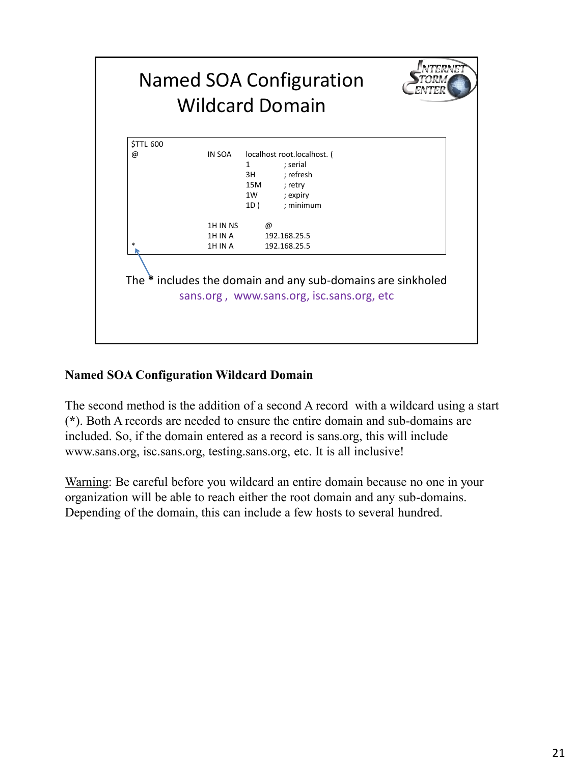![](_page_18_Figure_0.jpeg)

# **Named SOA Configuration Wildcard Domain**

The second method is the addition of a second A record with a wildcard using a start (**\***). Both A records are needed to ensure the entire domain and sub-domains are included. So, if the domain entered as a record is sans.org, this will include www.sans.org, isc.sans.org, testing.sans.org, etc. It is all inclusive!

Warning: Be careful before you wildcard an entire domain because no one in your organization will be able to reach either the root domain and any sub-domains. Depending of the domain, this can include a few hosts to several hundred.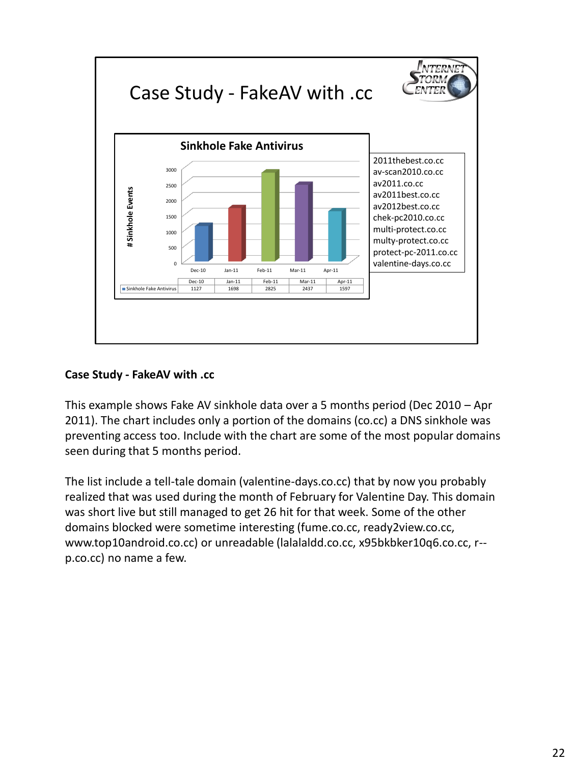![](_page_19_Figure_0.jpeg)

#### **Case Study - FakeAV with .cc**

This example shows Fake AV sinkhole data over a 5 months period (Dec 2010 – Apr 2011). The chart includes only a portion of the domains (co.cc) a DNS sinkhole was preventing access too. Include with the chart are some of the most popular domains seen during that 5 months period.

The list include a tell-tale domain (valentine-days.co.cc) that by now you probably realized that was used during the month of February for Valentine Day. This domain was short live but still managed to get 26 hit for that week. Some of the other domains blocked were sometime interesting (fume.co.cc, ready2view.co.cc, www.top10android.co.cc) or unreadable (lalalaldd.co.cc, x95bkbker10q6.co.cc, r- p.co.cc) no name a few.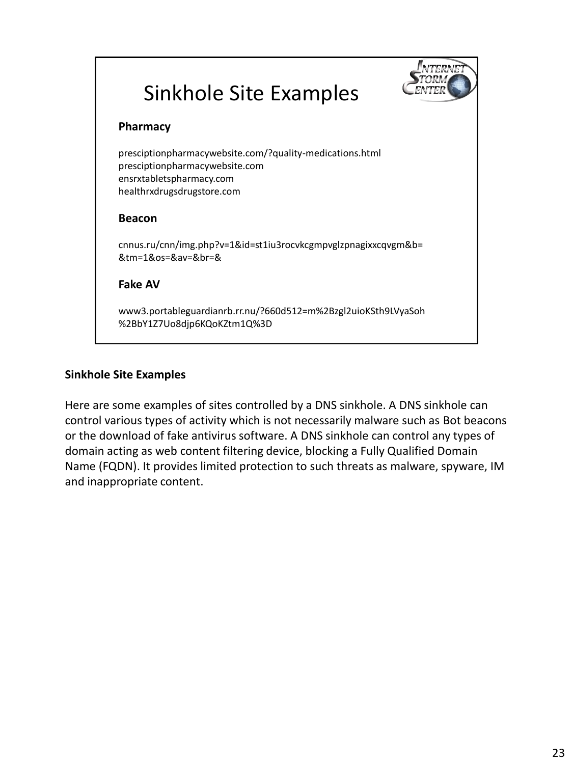![](_page_20_Figure_0.jpeg)

#### **Sinkhole Site Examples**

Here are some examples of sites controlled by a DNS sinkhole. A DNS sinkhole can control various types of activity which is not necessarily malware such as Bot beacons or the download of fake antivirus software. A DNS sinkhole can control any types of domain acting as web content filtering device, blocking a Fully Qualified Domain Name (FQDN). It provides limited protection to such threats as malware, spyware, IM and inappropriate content.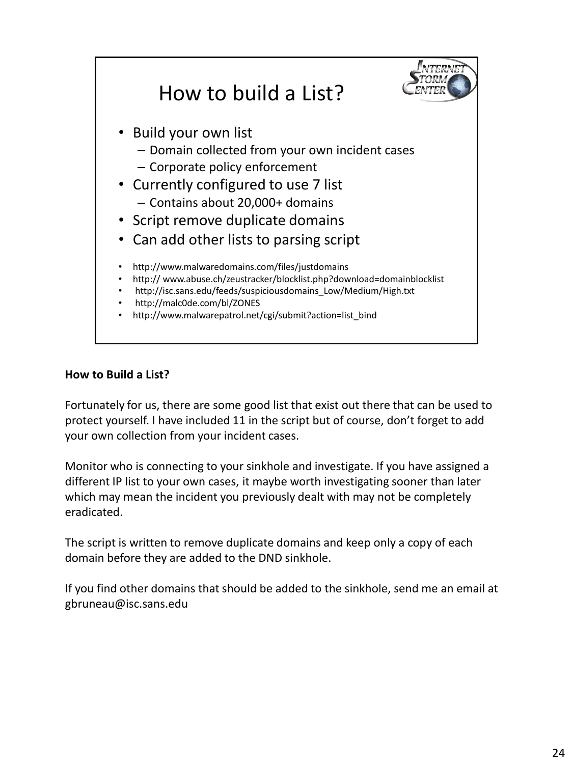![](_page_21_Picture_0.jpeg)

#### **How to Build a List?**

Fortunately for us, there are some good list that exist out there that can be used to protect yourself. I have included 11 in the script but of course, don't forget to add your own collection from your incident cases.

Monitor who is connecting to your sinkhole and investigate. If you have assigned a different IP list to your own cases, it maybe worth investigating sooner than later which may mean the incident you previously dealt with may not be completely eradicated.

The script is written to remove duplicate domains and keep only a copy of each domain before they are added to the DND sinkhole.

If you find other domains that should be added to the sinkhole, send me an email at gbruneau@isc.sans.edu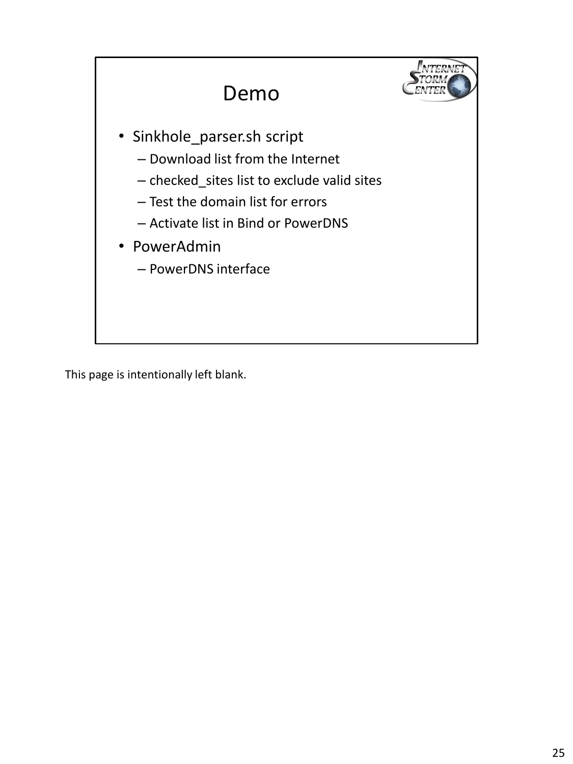![](_page_22_Figure_0.jpeg)

This page is intentionally left blank.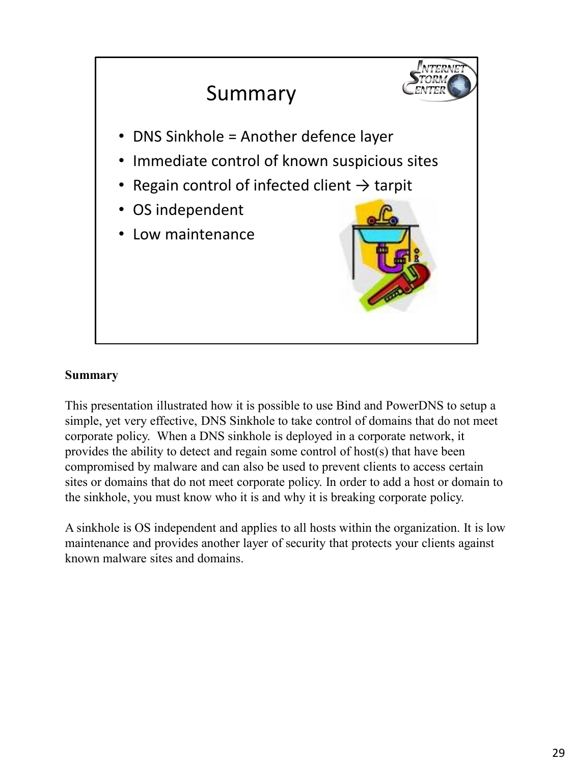![](_page_23_Figure_0.jpeg)

## **Summary**

This presentation illustrated how it is possible to use Bind and PowerDNS to setup a simple, yet very effective, DNS Sinkhole to take control of domains that do not meet corporate policy. When a DNS sinkhole is deployed in a corporate network, it provides the ability to detect and regain some control of host(s) that have been compromised by malware and can also be used to prevent clients to access certain sites or domains that do not meet corporate policy. In order to add a host or domain to the sinkhole, you must know who it is and why it is breaking corporate policy.

A sinkhole is OS independent and applies to all hosts within the organization. It is low maintenance and provides another layer of security that protects your clients against known malware sites and domains.